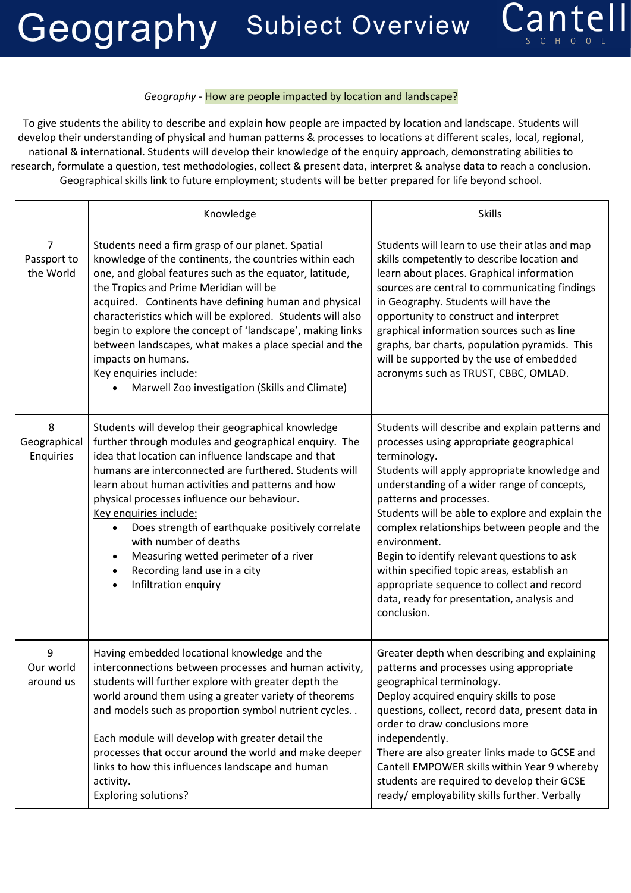## Geography Subiect Overview



## *Geography -* How are people impacted by location and landscape?

To give students the ability to describe and explain how people are impacted by location and landscape. Students will develop their understanding of physical and human patterns & processes to locations at different scales, local, regional, national & international. Students will develop their knowledge of the enquiry approach, demonstrating abilities to research, formulate a question, test methodologies, collect & present data, interpret & analyse data to reach a conclusion. Geographical skills link to future employment; students will be better prepared for life beyond school.

|                                            | Knowledge                                                                                                                                                                                                                                                                                                                                                                                                                                                                                                                                                        | <b>Skills</b>                                                                                                                                                                                                                                                                                                                                                                                                                                                                                                                                                      |
|--------------------------------------------|------------------------------------------------------------------------------------------------------------------------------------------------------------------------------------------------------------------------------------------------------------------------------------------------------------------------------------------------------------------------------------------------------------------------------------------------------------------------------------------------------------------------------------------------------------------|--------------------------------------------------------------------------------------------------------------------------------------------------------------------------------------------------------------------------------------------------------------------------------------------------------------------------------------------------------------------------------------------------------------------------------------------------------------------------------------------------------------------------------------------------------------------|
| $\overline{7}$<br>Passport to<br>the World | Students need a firm grasp of our planet. Spatial<br>knowledge of the continents, the countries within each<br>one, and global features such as the equator, latitude,<br>the Tropics and Prime Meridian will be<br>acquired. Continents have defining human and physical<br>characteristics which will be explored. Students will also<br>begin to explore the concept of 'landscape', making links<br>between landscapes, what makes a place special and the<br>impacts on humans.<br>Key enquiries include:<br>Marwell Zoo investigation (Skills and Climate) | Students will learn to use their atlas and map<br>skills competently to describe location and<br>learn about places. Graphical information<br>sources are central to communicating findings<br>in Geography. Students will have the<br>opportunity to construct and interpret<br>graphical information sources such as line<br>graphs, bar charts, population pyramids. This<br>will be supported by the use of embedded<br>acronyms such as TRUST, CBBC, OMLAD.                                                                                                   |
| 8<br>Geographical<br>Enquiries             | Students will develop their geographical knowledge<br>further through modules and geographical enquiry. The<br>idea that location can influence landscape and that<br>humans are interconnected are furthered. Students will<br>learn about human activities and patterns and how<br>physical processes influence our behaviour.<br>Key enquiries include:<br>Does strength of earthquake positively correlate<br>with number of deaths<br>Measuring wetted perimeter of a river<br>Recording land use in a city<br>Infiltration enquiry                         | Students will describe and explain patterns and<br>processes using appropriate geographical<br>terminology.<br>Students will apply appropriate knowledge and<br>understanding of a wider range of concepts,<br>patterns and processes.<br>Students will be able to explore and explain the<br>complex relationships between people and the<br>environment.<br>Begin to identify relevant questions to ask<br>within specified topic areas, establish an<br>appropriate sequence to collect and record<br>data, ready for presentation, analysis and<br>conclusion. |
| 9<br>Our world<br>around us                | Having embedded locational knowledge and the<br>interconnections between processes and human activity,<br>students will further explore with greater depth the<br>world around them using a greater variety of theorems<br>and models such as proportion symbol nutrient cycles<br>Each module will develop with greater detail the<br>processes that occur around the world and make deeper<br>links to how this influences landscape and human<br>activity.<br><b>Exploring solutions?</b>                                                                     | Greater depth when describing and explaining<br>patterns and processes using appropriate<br>geographical terminology.<br>Deploy acquired enquiry skills to pose<br>questions, collect, record data, present data in<br>order to draw conclusions more<br>independently.<br>There are also greater links made to GCSE and<br>Cantell EMPOWER skills within Year 9 whereby<br>students are required to develop their GCSE<br>ready/employability skills further. Verbally                                                                                            |